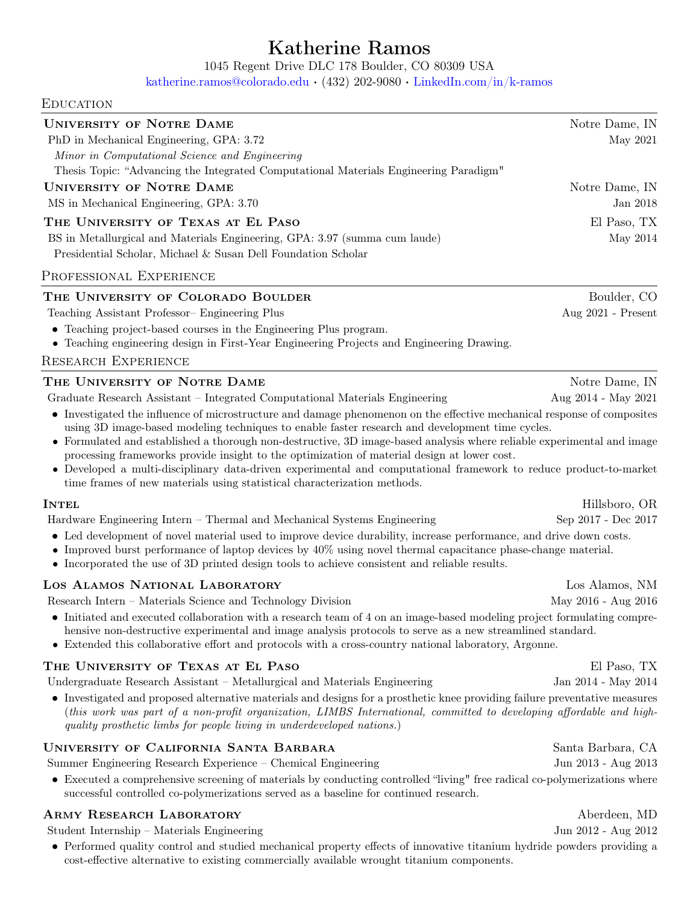# Katherine Ramos

1045 Regent Drive DLC 178 Boulder, CO 80309 USA

[katherine.ramos@colorado.edu](mailto:katherine.ramos@colorado.edu) · (432) 202-9080 · [LinkedIn.com/in/k-ramos](https://www.linkedin.com/in/k-ramos/)

### **EDUCATION**

| <b>UNIVERSITY OF NOTRE DAME</b><br>PhD in Mechanical Engineering, GPA: 3.72                                                                                                                                                                                                                                                                                                                                                                                                                                               | Notre Dame, IN<br>May 2021               |  |
|---------------------------------------------------------------------------------------------------------------------------------------------------------------------------------------------------------------------------------------------------------------------------------------------------------------------------------------------------------------------------------------------------------------------------------------------------------------------------------------------------------------------------|------------------------------------------|--|
| Minor in Computational Science and Engineering<br>Thesis Topic: "Advancing the Integrated Computational Materials Engineering Paradigm"                                                                                                                                                                                                                                                                                                                                                                                   |                                          |  |
| <b>UNIVERSITY OF NOTRE DAME</b><br>MS in Mechanical Engineering, GPA: 3.70                                                                                                                                                                                                                                                                                                                                                                                                                                                | Notre Dame, IN<br>Jan 2018               |  |
| THE UNIVERSITY OF TEXAS AT EL PASO<br>BS in Metallurgical and Materials Engineering, GPA: 3.97 (summa cum laude)<br>Presidential Scholar, Michael & Susan Dell Foundation Scholar                                                                                                                                                                                                                                                                                                                                         | El Paso, TX<br>May 2014                  |  |
| PROFESSIONAL EXPERIENCE                                                                                                                                                                                                                                                                                                                                                                                                                                                                                                   |                                          |  |
| THE UNIVERSITY OF COLORADO BOULDER<br>Teaching Assistant Professor– Engineering Plus<br>• Teaching project-based courses in the Engineering Plus program.<br>• Teaching engineering design in First-Year Engineering Projects and Engineering Drawing.<br><b>RESEARCH EXPERIENCE</b>                                                                                                                                                                                                                                      | Boulder, CO<br>Aug 2021 - Present        |  |
| THE UNIVERSITY OF NOTRE DAME                                                                                                                                                                                                                                                                                                                                                                                                                                                                                              | Notre Dame, IN                           |  |
| Graduate Research Assistant – Integrated Computational Materials Engineering                                                                                                                                                                                                                                                                                                                                                                                                                                              | Aug 2014 - May 2021                      |  |
| using 3D image-based modeling techniques to enable faster research and development time cycles.<br>• Formulated and established a thorough non-destructive, 3D image-based analysis where reliable experimental and image<br>processing frameworks provide insight to the optimization of material design at lower cost.<br>• Developed a multi-disciplinary data-driven experimental and computational framework to reduce product-to-market<br>time frames of new materials using statistical characterization methods. |                                          |  |
| <b>INTEL</b>                                                                                                                                                                                                                                                                                                                                                                                                                                                                                                              | Hillsboro, OR                            |  |
| Hardware Engineering Intern - Thermal and Mechanical Systems Engineering<br>• Led development of novel material used to improve device durability, increase performance, and drive down costs.<br>• Improved burst performance of laptop devices by $40\%$ using novel thermal capacitance phase-change material.<br>• Incorporated the use of 3D printed design tools to achieve consistent and reliable results.                                                                                                        | Sep 2017 - Dec 2017                      |  |
| LOS ALAMOS NATIONAL LABORATORY                                                                                                                                                                                                                                                                                                                                                                                                                                                                                            | Los Alamos, NM                           |  |
| Research Intern - Materials Science and Technology Division<br>• Initiated and executed collaboration with a research team of 4 on an image-based modeling project formulating compre-<br>hensive non-destructive experimental and image analysis protocols to serve as a new streamlined standard.<br>• Extended this collaborative effort and protocols with a cross-country national laboratory, Argonne.                                                                                                              | May 2016 - Aug 2016                      |  |
| THE UNIVERSITY OF TEXAS AT EL PASO                                                                                                                                                                                                                                                                                                                                                                                                                                                                                        | El Paso, TX                              |  |
| Undergraduate Research Assistant - Metallurgical and Materials Engineering                                                                                                                                                                                                                                                                                                                                                                                                                                                | Jan 2014 - May 2014                      |  |
| • Investigated and proposed alternative materials and designs for a prosthetic knee providing failure preventative measures<br>(this work was part of a non-profit organization, LIMBS International, committed to developing affordable and high-<br>quality prosthetic limbs for people living in underdeveloped nations.)                                                                                                                                                                                              |                                          |  |
| UNIVERSITY OF CALIFORNIA SANTA BARBARA<br>Summer Engineering Research Experience - Chemical Engineering                                                                                                                                                                                                                                                                                                                                                                                                                   | Santa Barbara, CA<br>Jun 2013 - Aug 2013 |  |
| • Executed a comprehensive screening of materials by conducting controlled "living" free radical co-polymerizations where<br>successful controlled co-polymerizations served as a baseline for continued research.                                                                                                                                                                                                                                                                                                        |                                          |  |
| <b>ARMY RESEARCH LABORATORY</b><br>Student Internship - Materials Engineering                                                                                                                                                                                                                                                                                                                                                                                                                                             | Aberdeen, MD<br>Jun 2012 - Aug 2012      |  |

• Performed quality control and studied mechanical property effects of innovative titanium hydride powders providing a cost-effective alternative to existing commercially available wrought titanium components.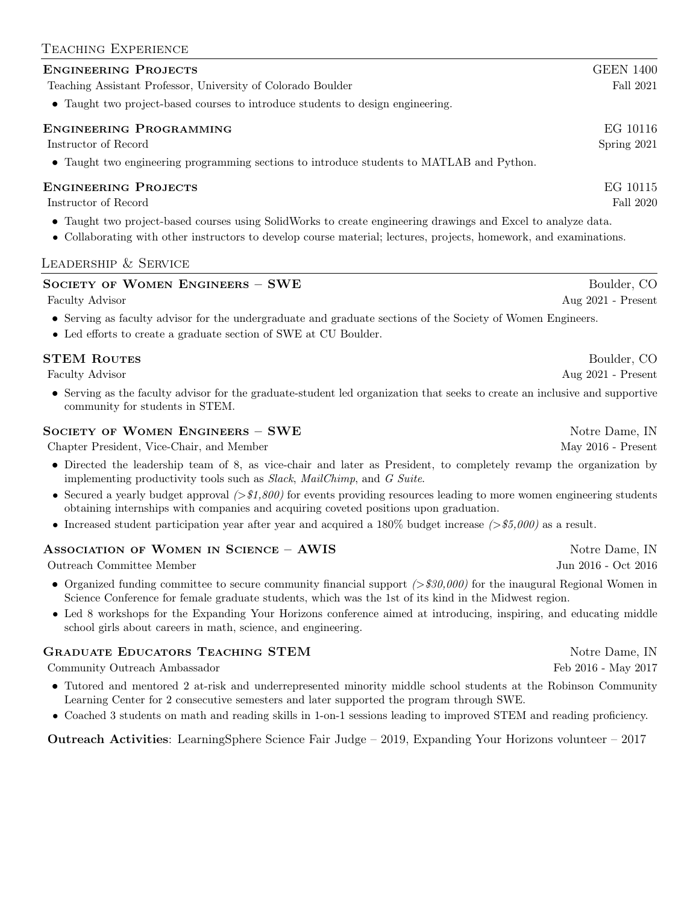# Teaching Experience

#### ENGINEERING PROJECTS GEEN 1400

Teaching Assistant Professor, University of Colorado Boulder Fall 2021 Fall 2021

• Taught two project-based courses to introduce students to design engineering.

#### Engineering Programming EG 10116

Instructor of Record Spring 2021

• Taught two engineering programming sections to introduce students to MATLAB and Python.

#### Engineering Projects EG 10115

Instructor of Record Fall 2020

- Taught two project-based courses using SolidWorks to create engineering drawings and Excel to analyze data.
- Collaborating with other instructors to develop course material; lectures, projects, homework, and examinations.

#### Leadership & Service

| <b>SOCIETY OF WOMEN ENGINEERS - SWE</b>                                                                                                                                                                                        | Boulder, CO          |
|--------------------------------------------------------------------------------------------------------------------------------------------------------------------------------------------------------------------------------|----------------------|
| Faculty Advisor                                                                                                                                                                                                                | Aug 2021 - Present   |
| • Serving as faculty advisor for the undergraduate and graduate sections of the Society of Women Engineers.<br>$\bullet~$ Led efforts to create a graduate section of SWE at CU Boulder.                                       |                      |
| <b>STEM ROUTES</b>                                                                                                                                                                                                             | Boulder, CO          |
| <b>Faculty Advisor</b>                                                                                                                                                                                                         | Aug 2021 - Present   |
| • Serving as the faculty advisor for the graduate-student led organization that seeks to create an inclusive and supportive<br>community for students in STEM.                                                                 |                      |
| <b>SOCIETY OF WOMEN ENGINEERS - SWE</b>                                                                                                                                                                                        | Notre Dame, IN       |
| Chapter President, Vice-Chair, and Member                                                                                                                                                                                      | May $2016$ - Present |
| • Directed the leadership team of 8, as vice-chair and later as President, to completely revamp the organization by<br>implementing productivity tools such as Slack, MailChimp, and G Suite.                                  |                      |
| • Secured a yearly budget approval $(>\$1,800)$ for events providing resources leading to more women engineering students<br>obtaining internships with companies and acquiring coveted positions upon graduation.             |                      |
| • Increased student participation year after year and acquired a 180% budget increase $(>\$5,000)$ as a result.                                                                                                                |                      |
| ASSOCIATION OF WOMEN IN SCIENCE - AWIS                                                                                                                                                                                         | Notre Dame, IN       |
| Outreach Committee Member                                                                                                                                                                                                      | Jun 2016 - Oct 2016  |
| • Organized funding committee to secure community financial support $(>\$30,000)$ for the inaugural Regional Women in<br>Science Conference for female graduate students, which was the 1st of its kind in the Midwest region. |                      |
| • Led 8 workshops for the Expanding Your Horizons conference aimed at introducing, inspiring, and educating middle<br>school girls about careers in math, science, and engineering.                                            |                      |
| <b>GRADUATE EDUCATORS TEACHING STEM</b>                                                                                                                                                                                        | Notre Dame, IN       |
| Community Outreach Ambassador                                                                                                                                                                                                  | Feb 2016 - May 2017  |
| • Tutored and mentored 2 at-risk and underrepresented minority middle school students at the Robinson Community<br>Learning Center for 2 consecutive semesters and later supported the program through SWE.                    |                      |

• Coached 3 students on math and reading skills in 1-on-1 sessions leading to improved STEM and reading proficiency.

Outreach Activities: LearningSphere Science Fair Judge – 2019, Expanding Your Horizons volunteer – 2017